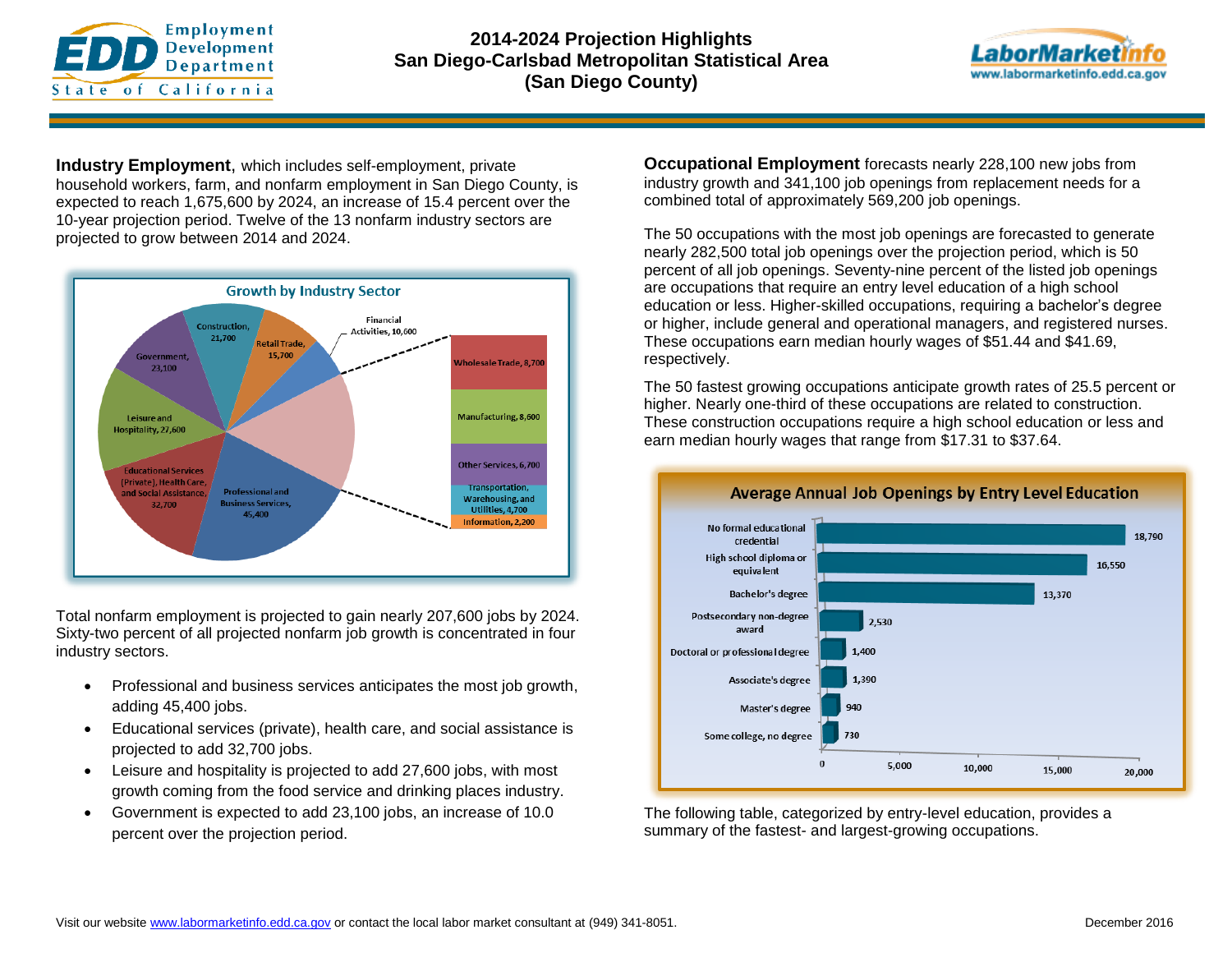



**Industry Employment**, which includes self-employment, private household workers, farm, and nonfarm employment in San Diego County, is expected to reach 1,675,600 by 2024, an increase of 15.4 percent over the 10-year projection period. Twelve of the 13 nonfarm industry sectors are projected to grow between 2014 and 2024.



Total nonfarm employment is projected to gain nearly 207,600 jobs by 2024. Sixty-two percent of all projected nonfarm job growth is concentrated in four industry sectors.

- Professional and business services anticipates the most job growth, adding 45,400 jobs.
- Educational services (private), health care, and social assistance is projected to add 32,700 jobs.
- Leisure and hospitality is projected to add 27,600 jobs, with most growth coming from the food service and drinking places industry.
- Government is expected to add 23,100 jobs, an increase of 10.0 percent over the projection period.

**Occupational Employment** forecasts nearly 228,100 new jobs from industry growth and 341,100 job openings from replacement needs for a combined total of approximately 569,200 job openings.

The 50 occupations with the most job openings are forecasted to generate nearly 282,500 total job openings over the projection period, which is 50 percent of all job openings. Seventy-nine percent of the listed job openings are occupations that require an entry level education of a high school education or less. Higher-skilled occupations, requiring a bachelor's degree or higher, include general and operational managers, and registered nurses. These occupations earn median hourly wages of \$51.44 and \$41.69, respectively.

The 50 fastest growing occupations anticipate growth rates of 25.5 percent or higher. Nearly one-third of these occupations are related to construction. These construction occupations require a high school education or less and earn median hourly wages that range from \$17.31 to \$37.64.



The following table, categorized by entry-level education, provides a summary of the fastest- and largest-growing occupations.